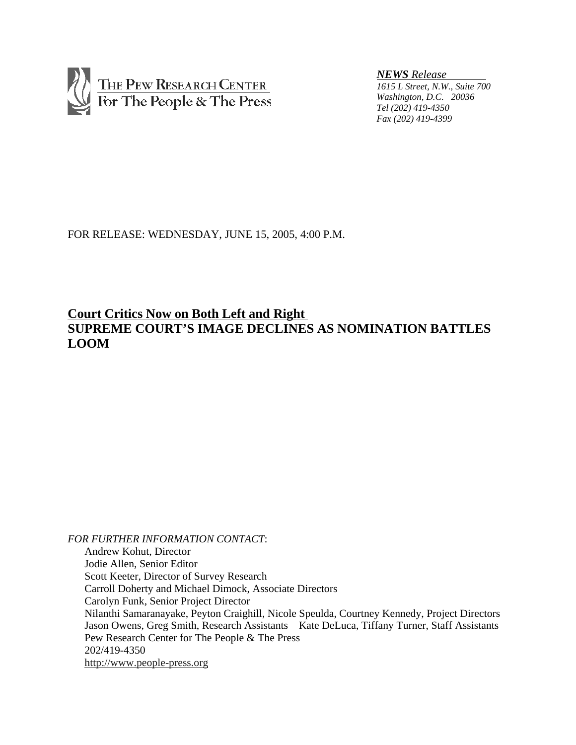

*NEWS Release* 

*1615 L Street, N.W., Suite 700 Washington, D.C. 20036 Tel (202) 419-4350 Fax (202) 419-4399*

FOR RELEASE: WEDNESDAY, JUNE 15, 2005, 4:00 P.M.

## **Court Critics Now on Both Left and Right SUPREME COURT'S IMAGE DECLINES AS NOMINATION BATTLES LOOM**

*FOR FURTHER INFORMATION CONTACT*: Andrew Kohut, Director Jodie Allen, Senior Editor Scott Keeter, Director of Survey Research Carroll Doherty and Michael Dimock, Associate Directors Carolyn Funk, Senior Project Director Nilanthi Samaranayake, Peyton Craighill, Nicole Speulda, Courtney Kennedy, Project Directors Jason Owens, Greg Smith, Research Assistants Kate DeLuca, Tiffany Turner, Staff Assistants Pew Research Center for The People & The Press 202/419-4350 http://www.people-press.org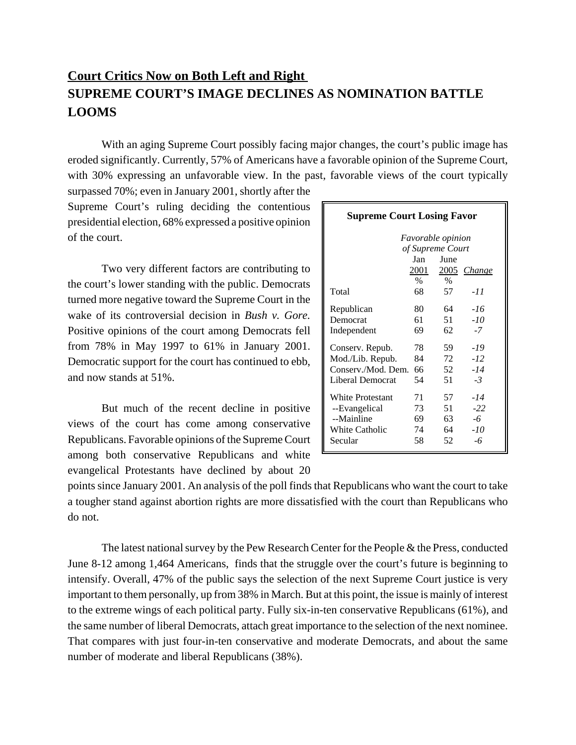## **Court Critics Now on Both Left and Right SUPREME COURT'S IMAGE DECLINES AS NOMINATION BATTLE LOOMS**

With an aging Supreme Court possibly facing major changes, the court's public image has eroded significantly. Currently, 57% of Americans have a favorable opinion of the Supreme Court, with 30% expressing an unfavorable view. In the past, favorable views of the court typically

surpassed 70%; even in January 2001, shortly after the Supreme Court's ruling deciding the contentious presidential election, 68% expressed a positive opinion of the court.

Two very different factors are contributing to the court's lower standing with the public. Democrats turned more negative toward the Supreme Court in the wake of its controversial decision in *Bush v. Gore.* Positive opinions of the court among Democrats fell from 78% in May 1997 to 61% in January 2001. Democratic support for the court has continued to ebb, and now stands at 51%.

But much of the recent decline in positive views of the court has come among conservative Republicans. Favorable opinions of the Supreme Court among both conservative Republicans and white evangelical Protestants have declined by about 20

| <b>Supreme Court Losing Favor</b> |      |                  |             |  |  |  |  |  |  |
|-----------------------------------|------|------------------|-------------|--|--|--|--|--|--|
| <i>Favorable opinion</i>          |      |                  |             |  |  |  |  |  |  |
|                                   |      | of Supreme Court |             |  |  |  |  |  |  |
|                                   | Jan  | June             |             |  |  |  |  |  |  |
|                                   | 2001 |                  | 2005 Change |  |  |  |  |  |  |
|                                   | $\%$ | $\frac{0}{0}$    |             |  |  |  |  |  |  |
| Total                             | 68   | 57               | -11         |  |  |  |  |  |  |
| Republican                        | 80   | 64               | -16         |  |  |  |  |  |  |
| Democrat                          | 61   | 51               | $-10$       |  |  |  |  |  |  |
| Independent                       | 69   | 62               | $-7$        |  |  |  |  |  |  |
| Conserv. Repub.                   | 78   | 59               | -19         |  |  |  |  |  |  |
| Mod./Lib. Repub.                  | 84   | 72               | $-12$       |  |  |  |  |  |  |
| Conserv./Mod. Dem.                | 66   | 52               | $-14$       |  |  |  |  |  |  |
| Liberal Democrat                  | 54   | 51               | $-3$        |  |  |  |  |  |  |
| <b>White Protestant</b>           | 71   | 57               | $-14$       |  |  |  |  |  |  |
| --Evangelical                     | 73   | 51               | $-22$       |  |  |  |  |  |  |
| --Mainline                        | 69   | 63               | -6          |  |  |  |  |  |  |
| <b>White Catholic</b>             | 74   | 64               | -10         |  |  |  |  |  |  |
| Secular                           | 58   | 52               | -6          |  |  |  |  |  |  |

points since January 2001. An analysis of the poll finds that Republicans who want the court to take a tougher stand against abortion rights are more dissatisfied with the court than Republicans who do not.

The latest national survey by the Pew Research Center for the People & the Press, conducted June 8-12 among 1,464 Americans, finds that the struggle over the court's future is beginning to intensify. Overall, 47% of the public says the selection of the next Supreme Court justice is very important to them personally, up from 38% in March. But at this point, the issue is mainly of interest to the extreme wings of each political party. Fully six-in-ten conservative Republicans (61%), and the same number of liberal Democrats, attach great importance to the selection of the next nominee. That compares with just four-in-ten conservative and moderate Democrats, and about the same number of moderate and liberal Republicans (38%).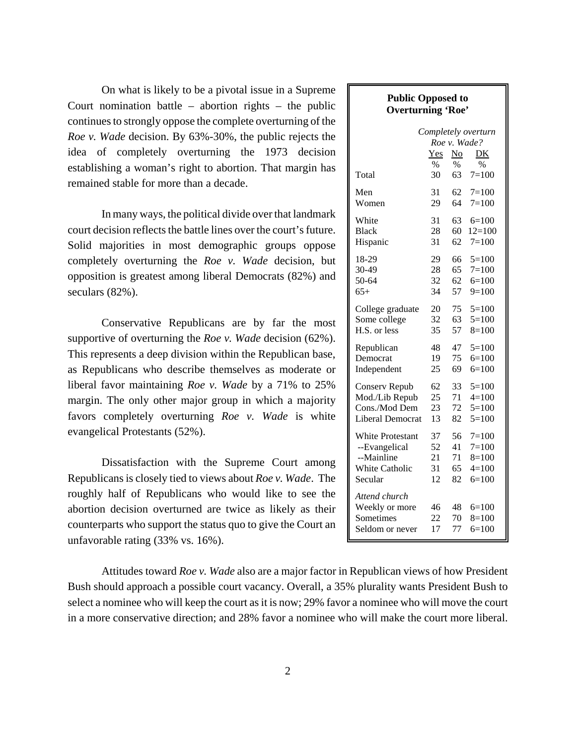On what is likely to be a pivotal issue in a Supreme Court nomination battle – abortion rights – the public continues to strongly oppose the complete overturning of the *Roe v. Wade* decision. By 63%-30%, the public rejects the idea of completely overturning the 1973 decision establishing a woman's right to abortion. That margin has remained stable for more than a decade.

In many ways, the political divide over that landmark court decision reflects the battle lines over the court's future. Solid majorities in most demographic groups oppose completely overturning the *Roe v. Wade* decision, but opposition is greatest among liberal Democrats (82%) and seculars (82%).

Conservative Republicans are by far the most supportive of overturning the *Roe v. Wade* decision (62%). This represents a deep division within the Republican base, as Republicans who describe themselves as moderate or liberal favor maintaining *Roe v. Wade* by a 71% to 25% margin. The only other major group in which a majority favors completely overturning *Roe v. Wade* is white evangelical Protestants (52%).

Dissatisfaction with the Supreme Court among Republicans is closely tied to views about *Roe v. Wade*. The roughly half of Republicans who would like to see the abortion decision overturned are twice as likely as their counterparts who support the status quo to give the Court an unfavorable rating (33% vs. 16%).

# Attitudes toward *Roe v. Wade* also are a major factor in Republican views of how President Bush should approach a possible court vacancy. Overall, a 35% plurality wants President Bush to select a nominee who will keep the court as it is now; 29% favor a nominee who will move the court in a more conservative direction; and 28% favor a nominee who will make the court more liberal.

| <b>Public Opposed to</b><br><b>Overturning 'Roe'</b>            |                |                |                             |  |  |  |  |  |  |
|-----------------------------------------------------------------|----------------|----------------|-----------------------------|--|--|--|--|--|--|
| Completely overturn<br>Roe v. Wade?<br>No<br>Yes<br>DK          |                |                |                             |  |  |  |  |  |  |
| Total                                                           | $\%$           | $\%$           | $\%$                        |  |  |  |  |  |  |
|                                                                 | 30             | 63             | $7 = 100$                   |  |  |  |  |  |  |
| Men                                                             | 31             | 62             | $7 = 100$                   |  |  |  |  |  |  |
| Women                                                           | 29             | 64             | $7 = 100$                   |  |  |  |  |  |  |
| White                                                           | 31             | 63             | $6=100$                     |  |  |  |  |  |  |
| Black                                                           | 28             | 60             | $12=100$                    |  |  |  |  |  |  |
| Hispanic                                                        | 31             | 62             | $7=100$                     |  |  |  |  |  |  |
| 18-29                                                           | 29             | 66             | $5=100$                     |  |  |  |  |  |  |
| 30-49                                                           | 28             | 65             | $7 = 100$                   |  |  |  |  |  |  |
| 50-64                                                           | 32             | 62             | $6=100$                     |  |  |  |  |  |  |
| $65+$                                                           | 34             | 57             | $9=100$                     |  |  |  |  |  |  |
| College graduate                                                | 20             | 75             | $5=100$                     |  |  |  |  |  |  |
| Some college                                                    | 32             | 63             | $5=100$                     |  |  |  |  |  |  |
| H.S. or less                                                    | 35             | 57             | $8 = 100$                   |  |  |  |  |  |  |
| Republican                                                      | 48             | 47             | $5=100$                     |  |  |  |  |  |  |
| Democrat                                                        | 19             | 75             | $6=100$                     |  |  |  |  |  |  |
| Independent                                                     | 25             | 69             | $6=100$                     |  |  |  |  |  |  |
| <b>Conserv Repub</b>                                            | 62             | 33             | $5=100$                     |  |  |  |  |  |  |
| Mod./Lib Repub                                                  | 25             | 71             | $4=100$                     |  |  |  |  |  |  |
| Cons./Mod Dem                                                   | 23             | 72             | $5=100$                     |  |  |  |  |  |  |
| <b>Liberal Democrat</b>                                         | 13             | 82             | $5=100$                     |  |  |  |  |  |  |
| White Protestant                                                | 37             | 56             | 7=100                       |  |  |  |  |  |  |
| --Evangelical                                                   | 52             | 41             | $7 = 100$                   |  |  |  |  |  |  |
| --Mainline                                                      | 21             | 71             | $8=100$                     |  |  |  |  |  |  |
| White Catholic                                                  | 31             | 65             | $4=100$                     |  |  |  |  |  |  |
| Secular                                                         | 12             | 82             | $6=100$                     |  |  |  |  |  |  |
| Attend church<br>Weekly or more<br>Sometimes<br>Seldom or never | 46<br>22<br>17 | 48<br>70<br>77 | $6=100$<br>8=100<br>$6=100$ |  |  |  |  |  |  |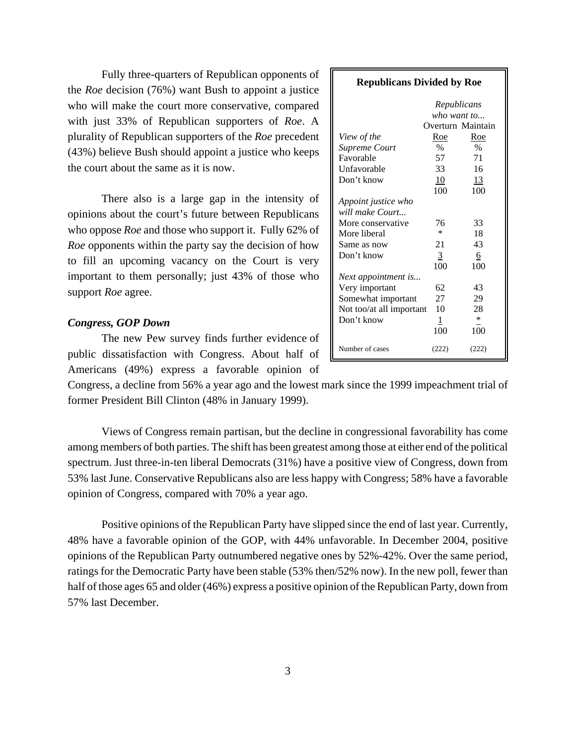Fully three-quarters of Republican opponents of the *Roe* decision (76%) want Bush to appoint a justice who will make the court more conservative, compared with just 33% of Republican supporters of *Roe*. A plurality of Republican supporters of the *Roe* precedent (43%) believe Bush should appoint a justice who keeps the court about the same as it is now.

There also is a large gap in the intensity of opinions about the court's future between Republicans who oppose *Roe* and those who support it. Fully 62% of *Roe* opponents within the party say the decision of how to fill an upcoming vacancy on the Court is very important to them personally; just 43% of those who support *Roe* agree.

#### *Congress, GOP Down*

 The new Pew survey finds further evidence of public dissatisfaction with Congress. About half of Americans (49%) express a favorable opinion of

Congress, a decline from 56% a year ago and the lowest mark since the 1999 impeachment trial of former President Bill Clinton (48% in January 1999).

Views of Congress remain partisan, but the decline in congressional favorability has come among members of both parties. The shift has been greatest among those at either end of the political spectrum. Just three-in-ten liberal Democrats (31%) have a positive view of Congress, down from 53% last June. Conservative Republicans also are less happy with Congress; 58% have a favorable opinion of Congress, compared with 70% a year ago.

Positive opinions of the Republican Party have slipped since the end of last year. Currently, 48% have a favorable opinion of the GOP, with 44% unfavorable. In December 2004, positive opinions of the Republican Party outnumbered negative ones by 52%-42%. Over the same period, ratings for the Democratic Party have been stable (53% then/52% now). In the new poll, fewer than half of those ages 65 and older (46%) express a positive opinion of the Republican Party, down from 57% last December.

| <b>Republicans Divided by Roe</b> |              |                   |  |  |  |  |  |  |  |
|-----------------------------------|--------------|-------------------|--|--|--|--|--|--|--|
| Republicans                       |              |                   |  |  |  |  |  |  |  |
|                                   | who want to  |                   |  |  |  |  |  |  |  |
|                                   |              | Overturn Maintain |  |  |  |  |  |  |  |
| View of the                       | <u>Roe</u>   | Roe               |  |  |  |  |  |  |  |
| Supreme Court                     | $\%$         | $\%$              |  |  |  |  |  |  |  |
| Favorable                         | 57           | 71                |  |  |  |  |  |  |  |
| Unfavorable                       | 33           | 16                |  |  |  |  |  |  |  |
| Don't know                        | 10           | 13                |  |  |  |  |  |  |  |
|                                   | 100          | 100               |  |  |  |  |  |  |  |
| Appoint justice who               |              |                   |  |  |  |  |  |  |  |
| will make Court                   |              |                   |  |  |  |  |  |  |  |
| More conservative                 | 76           | 33                |  |  |  |  |  |  |  |
| More liberal                      | ×.           | 18                |  |  |  |  |  |  |  |
| Same as now                       | 21           | 43                |  |  |  |  |  |  |  |
| Don't know                        | 3            | 6                 |  |  |  |  |  |  |  |
|                                   | 100          | 100               |  |  |  |  |  |  |  |
| Next appointment is               |              |                   |  |  |  |  |  |  |  |
| Very important                    | 62           | 43                |  |  |  |  |  |  |  |
| Somewhat important                | 27           | 29                |  |  |  |  |  |  |  |
| Not too/at all important          | 10           | 28                |  |  |  |  |  |  |  |
| Don't know                        | $\mathbf{1}$ | *                 |  |  |  |  |  |  |  |
|                                   | 100          | 100               |  |  |  |  |  |  |  |
| Number of cases                   | (222)        | (222)             |  |  |  |  |  |  |  |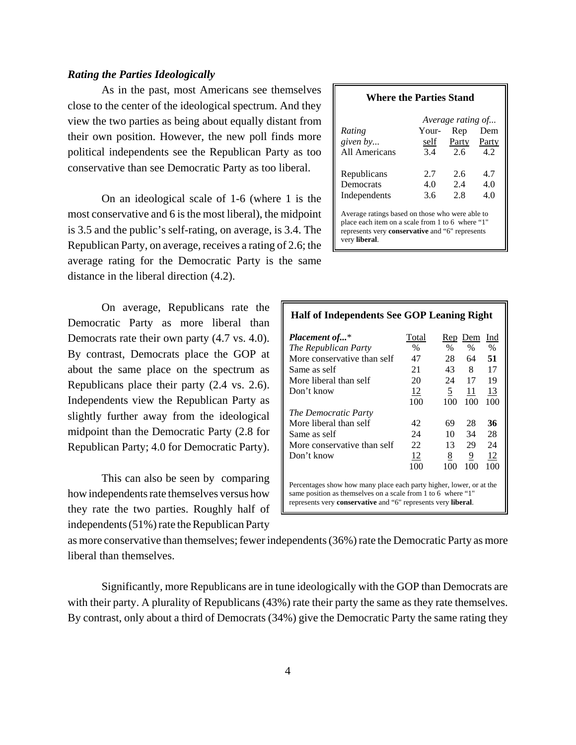#### *Rating the Parties Ideologically*

As in the past, most Americans see themselves close to the center of the ideological spectrum. And they view the two parties as being about equally distant from their own position. However, the new poll finds more political independents see the Republican Party as too conservative than see Democratic Party as too liberal.

On an ideological scale of 1-6 (where 1 is the most conservative and 6 is the most liberal), the midpoint is 3.5 and the public's self-rating, on average, is 3.4. The Republican Party, on average, receives a rating of 2.6; the average rating for the Democratic Party is the same distance in the liberal direction (4.2).

On average, Republicans rate the Democratic Party as more liberal than Democrats rate their own party (4.7 vs. 4.0). By contrast, Democrats place the GOP at about the same place on the spectrum as Republicans place their party (2.4 vs. 2.6). Independents view the Republican Party as slightly further away from the ideological midpoint than the Democratic Party (2.8 for Republican Party; 4.0 for Democratic Party).

This can also be seen by comparing how independents rate themselves versus how they rate the two parties. Roughly half of independents (51%) rate the Republican Party

#### **Where the Parties Stand**

|               |       | Average rating of |       |
|---------------|-------|-------------------|-------|
| Rating        | Your- | Rep               | Dem   |
| given by      | self  | Party             | Party |
| All Americans | 3.4   | 2.6               | 4.2   |
| Republicans   | 2.7   | 2.6               | 4.7   |
| Democrats     | 4.0   | 2.4               | 4.0   |
| Independents  | 3.6   | 2.8               | 4.0   |

Average ratings based on those who were able to place each item on a scale from 1 to 6 where "1" represents very **conservative** and "6" represents very **liberal**.

| Half of Independents See GOP Leaning Right                                                                                                                                                           |           |                |                |      |  |  |  |  |  |
|------------------------------------------------------------------------------------------------------------------------------------------------------------------------------------------------------|-----------|----------------|----------------|------|--|--|--|--|--|
| <b>Placement of*</b>                                                                                                                                                                                 | Total     | <b>Rep</b>     | Dem            | Ind  |  |  |  |  |  |
| The Republican Party                                                                                                                                                                                 | $\%$      | %              | $\%$           | $\%$ |  |  |  |  |  |
| More conservative than self                                                                                                                                                                          | 47        | 28             | 64             | 51   |  |  |  |  |  |
| Same as self                                                                                                                                                                                         | 21        | 43             | 8              | 17   |  |  |  |  |  |
| More liberal than self                                                                                                                                                                               | 20        | 24             | 17             | 19   |  |  |  |  |  |
| Don't know                                                                                                                                                                                           | <u>12</u> | $\overline{5}$ | 11             | 13   |  |  |  |  |  |
|                                                                                                                                                                                                      | 100       | 100            | 100            | 100  |  |  |  |  |  |
| The Democratic Party                                                                                                                                                                                 |           |                |                |      |  |  |  |  |  |
| More liberal than self                                                                                                                                                                               | 42        | 69             | 28             | 36   |  |  |  |  |  |
| Same as self                                                                                                                                                                                         | 24        | 10             | 34             | 28   |  |  |  |  |  |
| More conservative than self                                                                                                                                                                          | 22        | 13             | 29             | 24   |  |  |  |  |  |
| Don't know                                                                                                                                                                                           | 12        | 8              | $\overline{9}$ | 12   |  |  |  |  |  |
|                                                                                                                                                                                                      | 100       | 100            | 100            | 100  |  |  |  |  |  |
| Percentages show how many place each party higher, lower, or at the<br>same position as themselves on a scale from 1 to 6 where "1"<br>represents very conservative and "6" represents very liberal. |           |                |                |      |  |  |  |  |  |

as more conservative than themselves; fewer independents (36%) rate the Democratic Party as more liberal than themselves.

Significantly, more Republicans are in tune ideologically with the GOP than Democrats are with their party. A plurality of Republicans (43%) rate their party the same as they rate themselves. By contrast, only about a third of Democrats (34%) give the Democratic Party the same rating they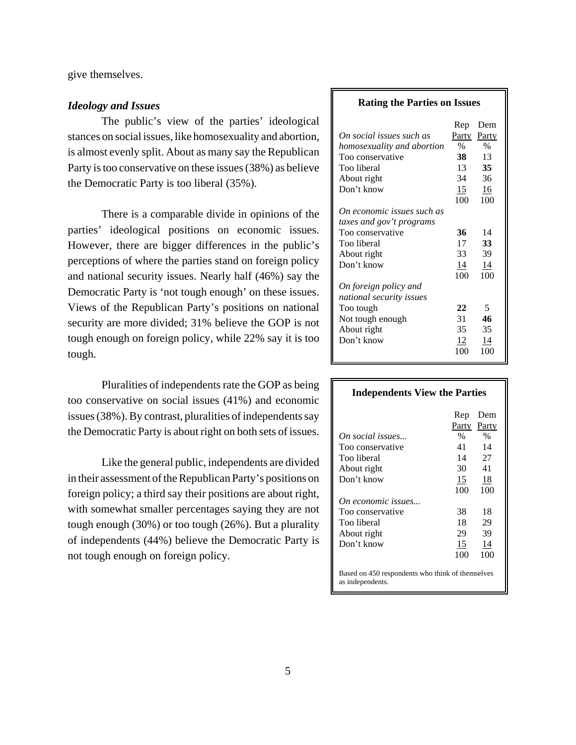give themselves.

#### *Ideology and Issues*

The public's view of the parties' ideological stances on social issues, like homosexuality and abortion, is almost evenly split. About as many say the Republican Party is too conservative on these issues (38%) as believe the Democratic Party is too liberal (35%).

There is a comparable divide in opinions of the parties' ideological positions on economic issues. However, there are bigger differences in the public's perceptions of where the parties stand on foreign policy and national security issues. Nearly half (46%) say the Democratic Party is 'not tough enough' on these issues. Views of the Republican Party's positions on national security are more divided; 31% believe the GOP is not tough enough on foreign policy, while 22% say it is too tough.

Pluralities of independents rate the GOP as being too conservative on social issues (41%) and economic issues (38%). By contrast, pluralities of independents say the Democratic Party is about right on both sets of issues.

Like the general public, independents are divided in their assessment of the Republican Party's positions on foreign policy; a third say their positions are about right, with somewhat smaller percentages saying they are not tough enough (30%) or too tough (26%). But a plurality of independents (44%) believe the Democratic Party is not tough enough on foreign policy.

#### **Rating the Parties on Issues**

| On social issues such as<br>homosexuality and abortion<br>Too conservative<br>Too liberal<br>About right | Rep<br><b>Party</b><br>$\%$<br>38<br>13<br>34 | Dem<br>Party<br>$\%$<br>13<br>35<br>36 |
|----------------------------------------------------------------------------------------------------------|-----------------------------------------------|----------------------------------------|
| Don't know                                                                                               | 15                                            | 16                                     |
|                                                                                                          | 100                                           | 100                                    |
| On economic issues such as                                                                               |                                               |                                        |
| taxes and gov't programs                                                                                 |                                               |                                        |
| Too conservative                                                                                         | 36                                            | 14                                     |
| Too liberal                                                                                              | 17                                            | 33                                     |
| About right                                                                                              | 33                                            | 39                                     |
| Don't know                                                                                               | 14                                            | 14                                     |
|                                                                                                          | 100                                           | 100                                    |
| On foreign policy and                                                                                    |                                               |                                        |
| national security issues                                                                                 |                                               |                                        |
| Too tough                                                                                                | 22                                            | 5                                      |
| Not tough enough                                                                                         | 31                                            | 46                                     |
| About right                                                                                              | 35                                            | 35                                     |
| Don't know                                                                                               | 12                                            | 14                                     |
|                                                                                                          | 100                                           | 100                                    |

### **Independents View the Parties**

|                                                                      | Rep   | Dem   |
|----------------------------------------------------------------------|-------|-------|
|                                                                      | Party | Party |
| On social issues                                                     | $\%$  | $\%$  |
| Too conservative                                                     | 41    | 14    |
| Too liberal                                                          | 14    | 27    |
| About right                                                          | 30    | 41    |
| Don't know                                                           | 15    | 18    |
|                                                                      | 100   | 100   |
| On economic issues                                                   |       |       |
| Too conservative                                                     | 38    | 18    |
| Too liberal                                                          | 18    | 29    |
| About right                                                          | 29    | 39    |
| Don't know                                                           | 15    | 14    |
|                                                                      | 100   | 100   |
| Based on 450 respondents who think of themselves<br>as indenendents. |       |       |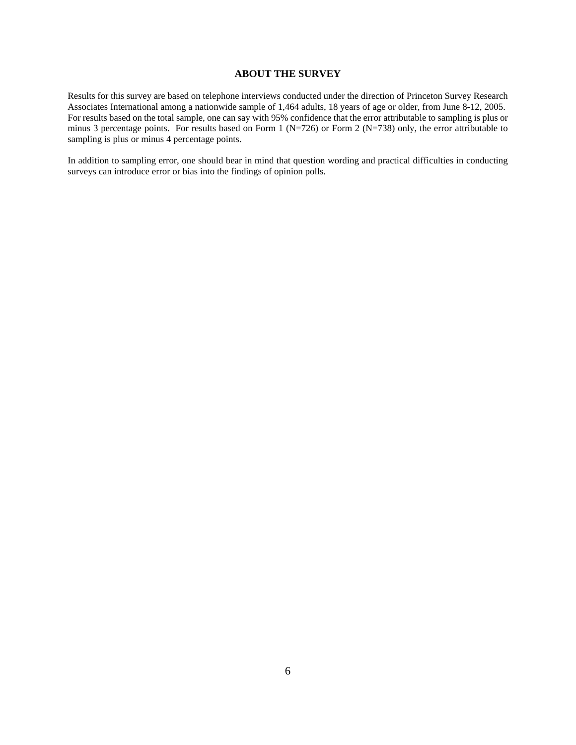#### **ABOUT THE SURVEY**

Results for this survey are based on telephone interviews conducted under the direction of Princeton Survey Research Associates International among a nationwide sample of 1,464 adults, 18 years of age or older, from June 8-12, 2005. For results based on the total sample, one can say with 95% confidence that the error attributable to sampling is plus or minus 3 percentage points. For results based on Form 1 (N=726) or Form 2 (N=738) only, the error attributable to sampling is plus or minus 4 percentage points.

In addition to sampling error, one should bear in mind that question wording and practical difficulties in conducting surveys can introduce error or bias into the findings of opinion polls.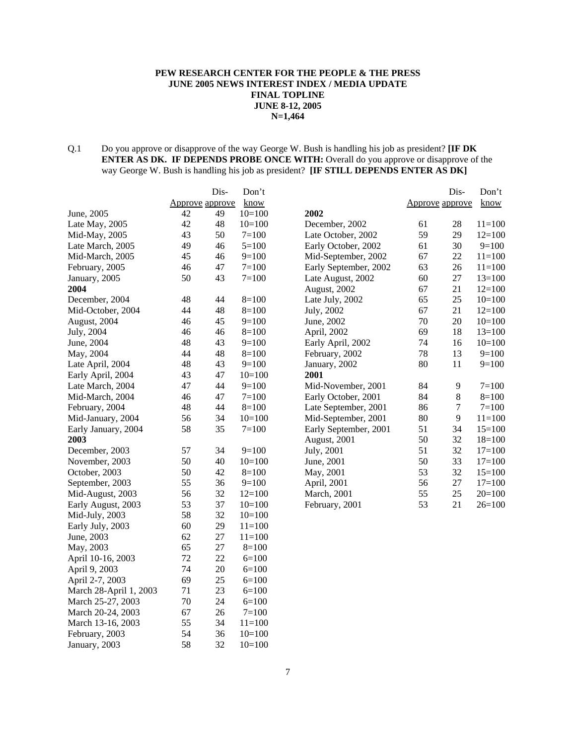#### **PEW RESEARCH CENTER FOR THE PEOPLE & THE PRESS JUNE 2005 NEWS INTEREST INDEX / MEDIA UPDATE FINAL TOPLINE JUNE 8-12, 2005 N=1,464**

Q.1 Do you approve or disapprove of the way George W. Bush is handling his job as president? **[IF DK ENTER AS DK. IF DEPENDS PROBE ONCE WITH:** Overall do you approve or disapprove of the way George W. Bush is handling his job as president? **[IF STILL DEPENDS ENTER AS DK]**

|                        |                        | Dis- | Don't      |                       |                        | Dis-             | Don't      |
|------------------------|------------------------|------|------------|-----------------------|------------------------|------------------|------------|
|                        | <b>Approve approve</b> |      | know       |                       | <b>Approve approve</b> |                  | know       |
| June, 2005             | 42                     | 49   | $10=100$   | 2002                  |                        |                  |            |
| Late May, 2005         | 42                     | 48   | $10=100$   | December, 2002        | 61                     | 28               | $11 = 100$ |
| Mid-May, 2005          | 43                     | 50   | $7 = 100$  | Late October, 2002    | 59                     | 29               | $12=100$   |
| Late March, 2005       | 49                     | 46   | $5 = 100$  | Early October, 2002   | 61                     | 30               | $9=100$    |
| Mid-March, 2005        | 45                     | 46   | $9=100$    | Mid-September, 2002   | 67                     | 22               | $11 = 100$ |
| February, 2005         | 46                     | 47   | $7 = 100$  | Early September, 2002 | 63                     | 26               | $11 = 100$ |
| January, 2005          | 50                     | 43   | $7 = 100$  | Late August, 2002     | 60                     | 27               | $13=100$   |
| 2004                   |                        |      |            | August, 2002          | 67                     | 21               | $12=100$   |
| December, 2004         | 48                     | 44   | $8=100$    | Late July, 2002       | 65                     | 25               | $10=100$   |
| Mid-October, 2004      | 44                     | 48   | $8=100$    | July, 2002            | 67                     | 21               | $12=100$   |
| August, 2004           | 46                     | 45   | $9=100$    | June, 2002            | 70                     | 20               | $10=100$   |
| July, 2004             | 46                     | 46   | $8=100$    | April, 2002           | 69                     | 18               | $13=100$   |
| June, 2004             | 48                     | 43   | $9=100$    | Early April, 2002     | 74                     | 16               | $10=100$   |
| May, 2004              | 44                     | 48   | $8=100$    | February, 2002        | 78                     | 13               | $9=100$    |
| Late April, 2004       | 48                     | 43   | $9=100$    | January, 2002         | 80                     | 11               | $9=100$    |
| Early April, 2004      | 43                     | 47   | $10=100$   | 2001                  |                        |                  |            |
| Late March, 2004       | 47                     | 44   | $9=100$    | Mid-November, 2001    | 84                     | 9                | $7 = 100$  |
| Mid-March, 2004        | 46                     | 47   | $7 = 100$  | Early October, 2001   | 84                     | 8                | $8=100$    |
| February, 2004         | 48                     | 44   | $8=100$    | Late September, 2001  | 86                     | $\boldsymbol{7}$ | $7 = 100$  |
| Mid-January, 2004      | 56                     | 34   | $10=100$   | Mid-September, 2001   | 80                     | 9                | $11 = 100$ |
| Early January, 2004    | 58                     | 35   | $7 = 100$  | Early September, 2001 | 51                     | 34               | $15=100$   |
| 2003                   |                        |      |            | August, 2001          | 50                     | 32               | $18=100$   |
| December, 2003         | 57                     | 34   | $9=100$    | July, 2001            | 51                     | 32               | $17=100$   |
| November, 2003         | 50                     | 40   | $10=100$   | June, 2001            | 50                     | 33               | $17=100$   |
| October, 2003          | 50                     | 42   | $8=100$    | May, 2001             | 53                     | 32               | $15=100$   |
| September, 2003        | 55                     | 36   | $9=100$    | April, 2001           | 56                     | 27               | $17=100$   |
| Mid-August, 2003       | 56                     | 32   | $12=100$   | March, 2001           | 55                     | 25               | $20=100$   |
| Early August, 2003     | 53                     | 37   | $10=100$   | February, 2001        | 53                     | 21               | $26=100$   |
| Mid-July, 2003         | 58                     | 32   | $10=100$   |                       |                        |                  |            |
| Early July, 2003       | 60                     | 29   | $11 = 100$ |                       |                        |                  |            |
| June, 2003             | 62                     | 27   | $11 = 100$ |                       |                        |                  |            |
| May, 2003              | 65                     | 27   | $8=100$    |                       |                        |                  |            |
| April 10-16, 2003      | 72                     | 22   | $6=100$    |                       |                        |                  |            |
| April 9, 2003          | 74                     | 20   | $6=100$    |                       |                        |                  |            |
| April 2-7, 2003        | 69                     | 25   | $6=100$    |                       |                        |                  |            |
| March 28-April 1, 2003 | 71                     | 23   | $6=100$    |                       |                        |                  |            |
| March 25-27, 2003      | 70                     | 24   | $6=100$    |                       |                        |                  |            |
| March 20-24, 2003      | 67                     | 26   | $7 = 100$  |                       |                        |                  |            |
| March 13-16, 2003      | 55                     | 34   | $11=100$   |                       |                        |                  |            |
| February, 2003         | 54                     | 36   | $10=100$   |                       |                        |                  |            |

January, 2003 58 32 10=100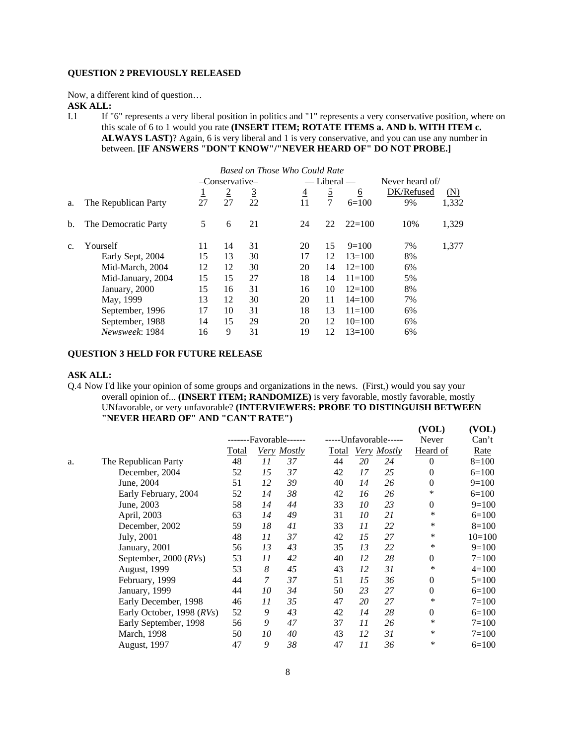#### **QUESTION 2 PREVIOUSLY RELEASED**

Now, a different kind of question…

**ASK ALL:**

I.1 If "6" represents a very liberal position in politics and "1" represents a very conservative position, where on this scale of 6 to 1 would you rate **(INSERT ITEM; ROTATE ITEMS a. AND b. WITH ITEM c. ALWAYS LAST)**? Again, 6 is very liberal and 1 is very conservative, and you can use any number in between. **[IF ANSWERS "DON'T KNOW"/"NEVER HEARD OF" DO NOT PROBE.]**

| Based on Those Who Could Rate |                      |    |                |          |                |                 |                 |            |       |
|-------------------------------|----------------------|----|----------------|----------|----------------|-----------------|-----------------|------------|-------|
|                               |                      |    | -Conservative- |          |                | $-$ Liberal $-$ | Never heard of/ |            |       |
|                               |                      | ⊥  | $\overline{2}$ | <u>3</u> | $\overline{4}$ | $\overline{2}$  | $\underline{6}$ | DK/Refused | (N)   |
| a.                            | The Republican Party | 27 | 27             | 22       | 11             | 7               | $6=100$         | 9%         | 1,332 |
| b.                            | The Democratic Party | 5  | 6              | 21       | 24             | 22              | $22=100$        | 10%        | 1,329 |
| C.                            | Yourself             | 11 | 14             | 31       | 20             | 15              | $9=100$         | 7%         | 1,377 |
|                               | Early Sept, 2004     | 15 | 13             | 30       | 17             | 12              | $13 = 100$      | 8%         |       |
|                               | Mid-March, 2004      | 12 | 12             | 30       | 20             | 14              | $12=100$        | 6%         |       |
|                               | Mid-January, 2004    | 15 | 15             | 27       | 18             | 14              | $11 = 100$      | 5%         |       |
|                               | January, 2000        | 15 | 16             | 31       | 16             | 10              | $12 = 100$      | 8%         |       |
|                               | May, 1999            | 13 | 12             | 30       | 20             | 11              | $14=100$        | 7%         |       |
|                               | September, 1996      | 17 | 10             | 31       | 18             | 13              | $11 = 100$      | 6%         |       |
|                               | September, 1988      | 14 | 15             | 29       | 20             | 12              | $10=100$        | 6%         |       |
|                               | Newsweek: 1984       | 16 | 9              | 31       | 19             | 12              | $13=100$        | 6%         |       |

#### **QUESTION 3 HELD FOR FUTURE RELEASE**

#### **ASK ALL:**

Q.4 Now I'd like your opinion of some groups and organizations in the news. (First,) would you say your overall opinion of... **(INSERT ITEM; RANDOMIZE)** is very favorable, mostly favorable, mostly UNfavorable, or very unfavorable? **(INTERVIEWERS: PROBE TO DISTINGUISH BETWEEN "NEVER HEARD OF" AND "CAN'T RATE") (VOL) (VOL)**

|    |                           |                  |    |             |              |    |                       | , , on,         | $\sqrt{2}$ |
|----|---------------------------|------------------|----|-------------|--------------|----|-----------------------|-----------------|------------|
|    |                           | -Favorable------ |    |             |              |    | -----Unfavorable----- | Never           | Can't      |
|    |                           | <b>Total</b>     |    | Very Mostly | <b>Total</b> |    | Very Mostly           | <u>Heard of</u> | Rate       |
| a. | The Republican Party      | 48               | 11 | 37          | 44           | 20 | 24                    | $\theta$        | $8=100$    |
|    | December, 2004            | 52               | 15 | 37          | 42           | 17 | 25                    | $\theta$        | $6=100$    |
|    | June, 2004                | 51               | 12 | 39          | 40           | 14 | 26                    | $\mathbf{0}$    | $9=100$    |
|    | Early February, 2004      | 52               | 14 | 38          | 42           | 16 | 26                    | $\ast$          | $6=100$    |
|    | June, 2003                | 58               | 14 | 44          | 33           | 10 | 23                    | $\mathbf{0}$    | $9=100$    |
|    | April, 2003               | 63               | 14 | 49          | 31           | 10 | 21                    | ∗               | $6=100$    |
|    | December, 2002            | 59               | 18 | 41          | 33           | 11 | 22                    | $\ast$          | $8=100$    |
|    | July, 2001                | 48               | 11 | 37          | 42           | 15 | 27                    | $\ast$          | $10=100$   |
|    | January, 2001             | 56               | 13 | 43          | 35           | 13 | 22                    | $\ast$          | $9=100$    |
|    | September, 2000 $(RVs)$   | 53               | 11 | 42          | 40           | 12 | 28                    | $\mathbf{0}$    | $7 = 100$  |
|    | August, 1999              | 53               | 8  | 45          | 43           | 12 | 31                    | ∗               | $4=100$    |
|    | February, 1999            | 44               | 7  | 37          | 51           | 15 | 36                    | $\Omega$        | $5=100$    |
|    | January, 1999             | 44               | 10 | 34          | 50           | 23 | 27                    | $\Omega$        | $6=100$    |
|    | Early December, 1998      | 46               | 11 | 35          | 47           | 20 | 27                    | ∗               | $7 = 100$  |
|    | Early October, 1998 (RVs) | 52               | 9  | 43          | 42           | 14 | 28                    | $\mathbf{0}$    | $6=100$    |
|    | Early September, 1998     | 56               | 9  | 47          | 37           | 11 | 26                    | $\ast$          | $7 = 100$  |
|    | <b>March</b> , 1998       | 50               | 10 | 40          | 43           | 12 | 31                    | $\ast$          | $7 = 100$  |
|    | August, 1997              | 47               | 9  | 38          | 47           | 11 | 36                    | ∗               | $6=100$    |
|    |                           |                  |    |             |              |    |                       |                 |            |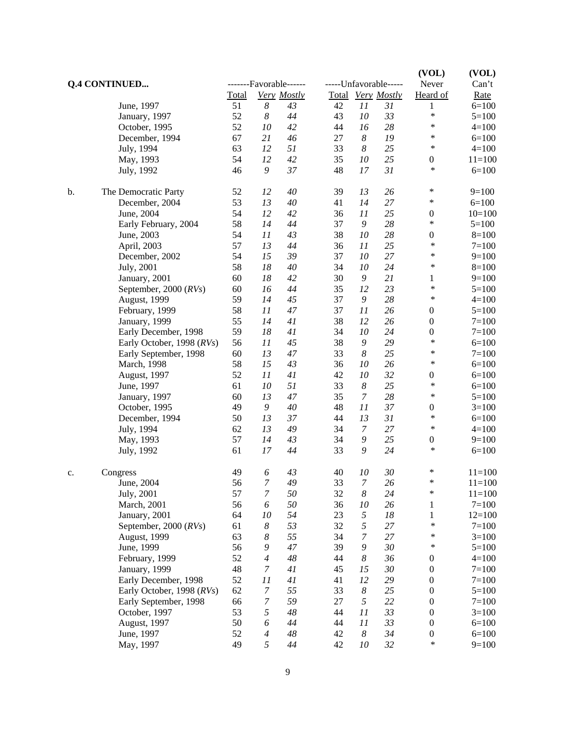| <b>Q.4 CONTINUED</b> |                           | -------Favorable------ |                       |             |    |                  | -----Unfavorable----- | (VOL)<br>Never             | (VOL)<br>Can't |  |
|----------------------|---------------------------|------------------------|-----------------------|-------------|----|------------------|-----------------------|----------------------------|----------------|--|
|                      |                           | Total                  |                       | Very Mostly |    |                  | Total Very Mostly     | Heard of                   | <b>Rate</b>    |  |
|                      | June, 1997                | 51                     | $\boldsymbol{8}$      | 43          | 42 | 11               | 31                    | 1                          | $6=100$        |  |
|                      | January, 1997             | 52                     | $\boldsymbol{8}$      | 44          | 43 | 10               | 33                    | $\ast$                     | $5=100$        |  |
|                      | October, 1995             | 52                     | 10                    | 42          | 44 | 16               | 28                    | ∗                          | $4 = 100$      |  |
|                      | December, 1994            | 67                     | 21                    | 46          | 27 | $\boldsymbol{8}$ | 19                    | ∗                          | $6=100$        |  |
|                      |                           | 63                     | 12                    | 51          | 33 | $\boldsymbol{8}$ | 25                    | $\ast$                     | $4 = 100$      |  |
|                      | July, 1994                |                        |                       |             |    |                  |                       |                            |                |  |
|                      | May, 1993                 | 54                     | 12                    | 42          | 35 | $10\,$           | 25                    | $\boldsymbol{0}$<br>$\ast$ | $11 = 100$     |  |
|                      | July, 1992                | 46                     | 9                     | 37          | 48 | 17               | 31                    |                            | $6=100$        |  |
| b.                   | The Democratic Party      | 52                     | 12                    | 40          | 39 | 13               | 26                    | $\ast$                     | $9=100$        |  |
|                      | December, 2004            | 53                     | 13                    | 40          | 41 | 14               | 27                    | *                          | $6=100$        |  |
|                      | June, 2004                | 54                     | 12                    | 42          | 36 | 11               | 25                    | $\boldsymbol{0}$           | $10=100$       |  |
|                      | Early February, 2004      | 58                     | 14                    | 44          | 37 | 9                | 28                    | $\ast$                     | $5=100$        |  |
|                      | June, 2003                | 54                     | 11                    | 43          | 38 | 10               | 28                    | $\boldsymbol{0}$           | $8=100$        |  |
|                      | April, 2003               | 57                     | 13                    | 44          | 36 | 11               | 25                    | $\ast$                     | $7 = 100$      |  |
|                      | December, 2002            | 54                     | 15                    | 39          | 37 | 10               | $27\,$                | ∗                          | $9=100$        |  |
|                      | July, 2001                | 58                     | 18                    | 40          | 34 | 10               | 24                    | $\ast$                     | $8=100$        |  |
|                      | January, 2001             | 60                     | 18                    | 42          | 30 | 9                | 21                    | $\mathbf{1}$               | $9=100$        |  |
|                      | September, 2000 (RVs)     | 60                     | 16                    | 44          | 35 | 12               | 23                    | ∗                          | $5 = 100$      |  |
|                      |                           | 59                     | 14                    | 45          | 37 | 9                | 28                    | $\ast$                     | $4 = 100$      |  |
|                      | August, 1999              |                        |                       |             |    |                  |                       |                            |                |  |
|                      | February, 1999            | 58                     | 11                    | 47          | 37 | 11               | 26                    | $\boldsymbol{0}$           | $5=100$        |  |
|                      | January, 1999             | 55                     | 14                    | 41          | 38 | 12               | 26                    | $\boldsymbol{0}$           | $7 = 100$      |  |
|                      | Early December, 1998      | 59                     | 18                    | 41          | 34 | 10               | 24                    | $\boldsymbol{0}$           | $7 = 100$      |  |
|                      | Early October, 1998 (RVs) | 56                     | 11                    | 45          | 38 | 9                | 29                    | $\ast$                     | $6=100$        |  |
|                      | Early September, 1998     | 60                     | 13                    | 47          | 33 | $\boldsymbol{8}$ | 25                    | ∗                          | $7 = 100$      |  |
|                      | March, 1998               | 58                     | 15                    | 43          | 36 | 10               | 26                    | $\ast$                     | $6=100$        |  |
|                      | August, 1997              | 52                     | 11                    | 41          | 42 | 10               | 32                    | $\boldsymbol{0}$           | $6=100$        |  |
|                      | June, 1997                | 61                     | 10                    | 51          | 33 | $\boldsymbol{8}$ | 25                    | $\ast$                     | $6=100$        |  |
|                      | January, 1997             | 60                     | 13                    | 47          | 35 | 7                | 28                    | $\ast$                     | $5=100$        |  |
|                      | October, 1995             | 49                     | 9                     | 40          | 48 | 11               | 37                    | $\boldsymbol{0}$           | $3=100$        |  |
|                      | December, 1994            | 50                     | 13                    | 37          | 44 | 13               | 31                    | $\ast$                     | $6=100$        |  |
|                      | July, 1994                | 62                     | 13                    | 49          | 34 | $\boldsymbol{7}$ | 27                    | $\ast$                     | $4 = 100$      |  |
|                      | May, 1993                 | 57                     | 14                    | 43          | 34 | 9                | 25                    | $\boldsymbol{0}$           | $9=100$        |  |
|                      | July, 1992                | 61                     | 17                    | 44          | 33 | 9                | 24                    | $\ast$                     | $6=100$        |  |
| c.                   | Congress                  | 49                     | 6                     | 43          | 40 | 10               | 30                    | ∗                          | $11 = 100$     |  |
|                      | June, 2004                | 56                     | $\overline{7}$        | 49          | 33 | $\overline{7}$   | 26                    | *                          | $11 = 100$     |  |
|                      |                           |                        |                       | 50          |    |                  |                       | ∗                          | $11 = 100$     |  |
|                      | July, 2001                | 57<br>56               | 7<br>6                | 50          | 32 | 8                | 24                    |                            | $7 = 100$      |  |
|                      | March, 2001               |                        |                       |             | 36 | $10\,$           | 26                    | $\mathbf 1$                |                |  |
|                      | January, 2001             | 64                     | 10                    | 54          | 23 | 5                | $18\,$                | $\,1$                      | $12=100$       |  |
|                      | September, 2000 $(RVs)$   | 61                     | $\boldsymbol{8}$      | 53          | 32 | 5                | 27                    | $\ast$                     | $7 = 100$      |  |
|                      | <b>August</b> , 1999      | 63                     | $\boldsymbol{8}$      | 55          | 34 | $\boldsymbol{7}$ | 27                    | ∗                          | $3=100$        |  |
|                      | June, 1999                | 56                     | 9                     | 47          | 39 | 9                | $30\,$                | $\ast$                     | $5 = 100$      |  |
|                      | February, 1999            | 52                     | $\overline{4}$        | 48          | 44 | $\boldsymbol{8}$ | 36                    | $\boldsymbol{0}$           | $4 = 100$      |  |
|                      | January, 1999             | 48                     | $\boldsymbol{7}$      | 41          | 45 | 15               | $30\,$                | $\boldsymbol{0}$           | $7 = 100$      |  |
|                      | Early December, 1998      | 52                     | 11                    | 41          | 41 | 12               | 29                    | $\boldsymbol{0}$           | $7 = 100$      |  |
|                      | Early October, 1998 (RVs) | 62                     | $\overline{7}$        | 55          | 33 | $\boldsymbol{8}$ | 25                    | $\boldsymbol{0}$           | $5=100$        |  |
|                      | Early September, 1998     | 66                     | $\boldsymbol{7}$      | 59          | 27 | 5                | 22                    | $\boldsymbol{0}$           | $7 = 100$      |  |
|                      | October, 1997             | 53                     | 5                     | 48          | 44 | 11               | 33                    | $\boldsymbol{0}$           | $3=100$        |  |
|                      | August, 1997              | 50                     | $\boldsymbol{\delta}$ | 44          | 44 | 11               | 33                    | $\boldsymbol{0}$           | $6 = 100$      |  |
|                      | June, 1997                | 52                     | $\overline{4}$        | $\sqrt{48}$ | 42 | $\boldsymbol{8}$ | 34                    | $\boldsymbol{0}$           | $6=100$        |  |
|                      | May, 1997                 | 49                     | 5                     | 44          | 42 | 10               | 32                    | $\ast$                     | $9=100$        |  |
|                      |                           |                        |                       |             |    |                  |                       |                            |                |  |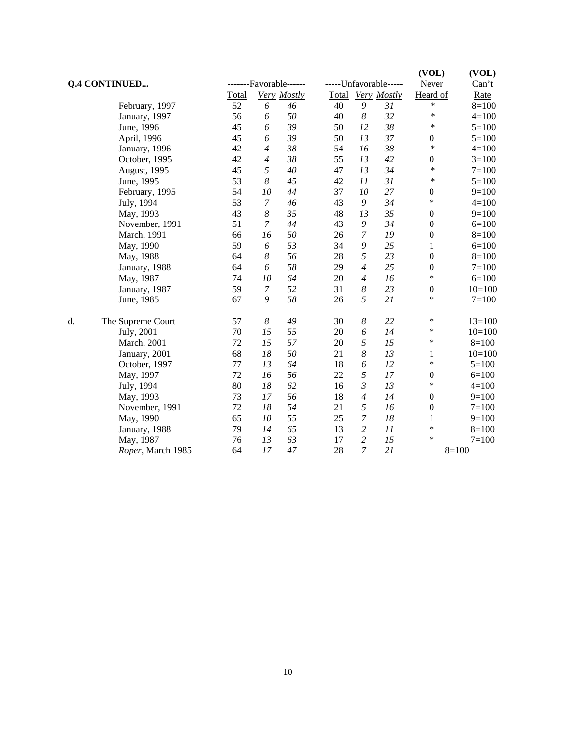| <b>Q.4 CONTINUED</b> |                   |       |                  | -------Favorable------ |    |                | -----Unfavorable----- | (VOL)<br>Never   | (VOL)<br>Can't |
|----------------------|-------------------|-------|------------------|------------------------|----|----------------|-----------------------|------------------|----------------|
|                      |                   | Total |                  | Very Mostly            |    |                | Total Very Mostly     | Heard of         | Rate           |
|                      | February, 1997    | 52    | 6                | 46                     | 40 | 9              | 31                    | *                | $8=100$        |
|                      | January, 1997     | 56    | 6                | 50                     | 40 | 8              | 32                    | $\ast$           | $4 = 100$      |
|                      | June, 1996        | 45    | 6                | 39                     | 50 | 12             | 38                    | ∗                | $5=100$        |
|                      | April, 1996       | 45    | 6                | 39                     | 50 | 13             | 37                    | $\boldsymbol{0}$ | $5=100$        |
|                      | January, 1996     | 42    | $\overline{4}$   | 38                     | 54 | 16             | 38                    | $\ast$           | $4 = 100$      |
|                      | October, 1995     | 42    | 4                | 38                     | 55 | 13             | 42                    | $\boldsymbol{0}$ | $3=100$        |
|                      | August, 1995      | 45    | 5                | 40                     | 47 | 13             | 34                    | $\ast$           | $7=100$        |
|                      | June, 1995        | 53    | $\boldsymbol{8}$ | 45                     | 42 | 11             | 31                    | $\ast$           | $5=100$        |
|                      | February, 1995    | 54    | 10               | 44                     | 37 | 10             | 27                    | $\boldsymbol{0}$ | $9=100$        |
|                      | July, 1994        | 53    | $\boldsymbol{7}$ | 46                     | 43 | 9              | 34                    | $\ast$           | $4 = 100$      |
|                      | May, 1993         | 43    | $\boldsymbol{8}$ | 35                     | 48 | 13             | 35                    | $\boldsymbol{0}$ | $9=100$        |
|                      | November, 1991    | 51    | $\overline{7}$   | 44                     | 43 | 9              | 34                    | $\boldsymbol{0}$ | $6=100$        |
|                      | March, 1991       | 66    | 16               | 50                     | 26 | $\overline{7}$ | 19                    | $\boldsymbol{0}$ | $8=100$        |
|                      | May, 1990         | 59    | 6                | 53                     | 34 | 9              | 25                    | $\mathbf{1}$     | $6=100$        |
|                      | May, 1988         | 64    | 8                | 56                     | 28 | 5              | 23                    | $\boldsymbol{0}$ | $8=100$        |
|                      | January, 1988     | 64    | 6                | 58                     | 29 | $\overline{4}$ | 25                    | $\boldsymbol{0}$ | $7 = 100$      |
|                      | May, 1987         | 74    | 10               | 64                     | 20 | $\overline{4}$ | 16                    | $\ast$           | $6=100$        |
|                      | January, 1987     | 59    | $\boldsymbol{7}$ | 52                     | 31 | 8              | 23                    | $\boldsymbol{0}$ | $10=100$       |
|                      | June, 1985        | 67    | 9                | 58                     | 26 | 5              | 21                    | *                | $7 = 100$      |
| d.                   | The Supreme Court | 57    | $\boldsymbol{8}$ | 49                     | 30 | 8              | 22                    | *                | $13=100$       |
|                      | July, 2001        | 70    | 15               | 55                     | 20 | 6              | 14                    | *                | $10=100$       |
|                      | March, 2001       | 72    | 15               | 57                     | 20 | 5              | 15                    | *                | $8=100$        |
|                      | January, 2001     | 68    | 18               | 50                     | 21 | 8              | 13                    | 1                | $10=100$       |
|                      | October, 1997     | 77    | 13               | 64                     | 18 | 6              | 12                    | $\ast$           | $5=100$        |
|                      | May, 1997         | 72    | 16               | 56                     | 22 | 5              | 17                    | $\boldsymbol{0}$ | $6=100$        |
|                      | July, 1994        | 80    | 18               | 62                     | 16 | 3              | 13                    | $\ast$           | $4=100$        |
|                      | May, 1993         | 73    | 17               | 56                     | 18 | $\overline{4}$ | 14                    | $\boldsymbol{0}$ | $9=100$        |
|                      | November, 1991    | 72    | 18               | 54                     | 21 | 5              | 16                    | $\boldsymbol{0}$ | $7 = 100$      |
|                      | May, 1990         | 65    | 10               | 55                     | 25 | 7              | 18                    | $\mathbf{1}$     | $9=100$        |
|                      | January, 1988     | 79    | 14               | 65                     | 13 | $\overline{c}$ | 11                    | ∗                | $8=100$        |
|                      | May, 1987         | 76    | 13               | 63                     | 17 | $\overline{c}$ | 15                    | $\ast$           | $7 = 100$      |
|                      | Roper, March 1985 | 64    | 17               | 47                     | 28 | $\overline{7}$ | 21                    |                  | $8=100$        |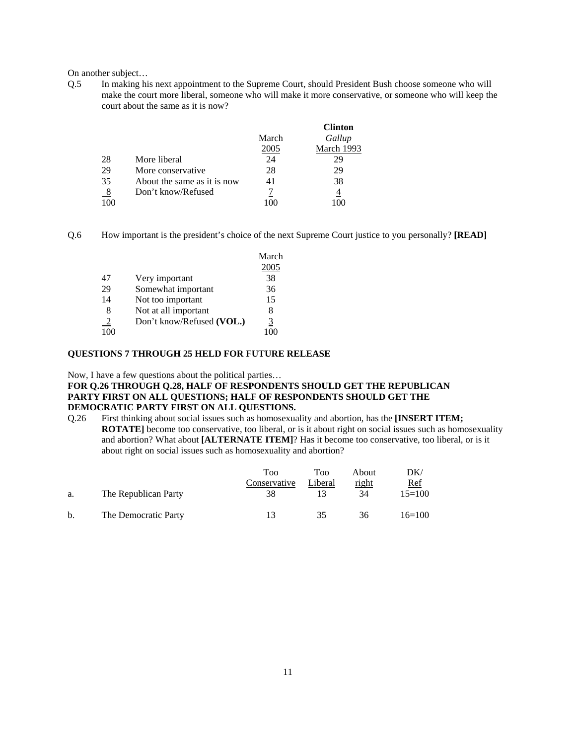On another subject…

Q.5 In making his next appointment to the Supreme Court, should President Bush choose someone who will make the court more liberal, someone who will make it more conservative, or someone who will keep the court about the same as it is now?

|     |                             |       | <b>Clinton</b> |
|-----|-----------------------------|-------|----------------|
|     |                             | March | Gallup         |
|     |                             | 2005  | March 1993     |
| 28  | More liberal                | 24    | 29             |
| 29  | More conservative           | 28    | 29             |
| 35  | About the same as it is now | 41    | 38             |
| 8   | Don't know/Refused          |       | 4              |
| 100 |                             |       |                |

Q.6 How important is the president's choice of the next Supreme Court justice to you personally? **[READ]**

|               |                           | March |
|---------------|---------------------------|-------|
|               |                           | 2005  |
| 47            | Very important            | 38    |
| 29            | Somewhat important        | 36    |
| 14            | Not too important         | 15    |
| 8             | Not at all important      | 8     |
| $\frac{2}{2}$ | Don't know/Refused (VOL.) | 3     |
| 100           |                           | 100   |
|               |                           |       |

#### **QUESTIONS 7 THROUGH 25 HELD FOR FUTURE RELEASE**

Now, I have a few questions about the political parties…

#### **FOR Q.26 THROUGH Q.28, HALF OF RESPONDENTS SHOULD GET THE REPUBLICAN PARTY FIRST ON ALL QUESTIONS; HALF OF RESPONDENTS SHOULD GET THE DEMOCRATIC PARTY FIRST ON ALL QUESTIONS.**

Q.26 First thinking about social issues such as homosexuality and abortion, has the **[INSERT ITEM; ROTATE**] become too conservative, too liberal, or is it about right on social issues such as homosexuality and abortion? What about **[ALTERNATE ITEM]**? Has it become too conservative, too liberal, or is it about right on social issues such as homosexuality and abortion?

|    |                      | Too          | <b>Too</b> | About | DK/        |
|----|----------------------|--------------|------------|-------|------------|
|    |                      | Conservative | Liberal    | right | <u>Ref</u> |
| а. | The Republican Party | 38           |            | 34    | $15=100$   |
| b. | The Democratic Party | 13           | 35         | 36    | $16=100$   |